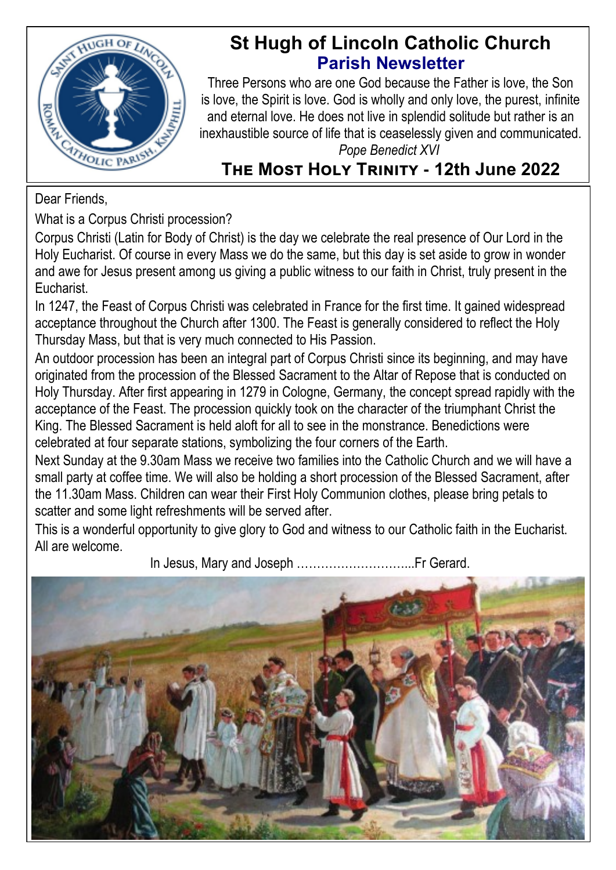

# **St Hugh of Lincoln Catholic Church Parish Newsletter**

Three Persons who are one God because the Father is love, the Son is love, the Spirit is love. God is wholly and only love, the purest, infinite and eternal love. He does not live in splendid solitude but rather is an inexhaustible source of life that is ceaselessly given and communicated. *Pope Benedict XVI*

# **The Most Holy Trinity - 12th June 2022**

Dear Friends,

What is a Corpus Christi procession?

Corpus Christi (Latin for Body of Christ) is the day we celebrate the real presence of Our Lord in the Holy Eucharist. Of course in every Mass we do the same, but this day is set aside to grow in wonder and awe for Jesus present among us giving a public witness to our faith in Christ, truly present in the Eucharist.

In 1247, the Feast of Corpus Christi was celebrated in France for the first time. It gained widespread acceptance throughout the Church after 1300. The Feast is generally considered to reflect the Holy Thursday Mass, but that is very much connected to His Passion.

An outdoor procession has been an integral part of Corpus Christi since its beginning, and may have originated from the procession of the Blessed Sacrament to the Altar of Repose that is conducted on Holy Thursday. After first appearing in 1279 in Cologne, Germany, the concept spread rapidly with the acceptance of the Feast. The procession quickly took on the character of the triumphant Christ the King. The Blessed Sacrament is held aloft for all to see in the monstrance. Benedictions were celebrated at four separate stations, symbolizing the four corners of the Earth.

Next Sunday at the 9.30am Mass we receive two families into the Catholic Church and we will have a small party at coffee time. We will also be holding a short procession of the Blessed Sacrament, after the 11.30am Mass. Children can wear their First Holy Communion clothes, please bring petals to scatter and some light refreshments will be served after.

This is a wonderful opportunity to give glory to God and witness to our Catholic faith in the Eucharist. All are welcome.

In Jesus, Mary and Joseph ………………………...Fr Gerard.

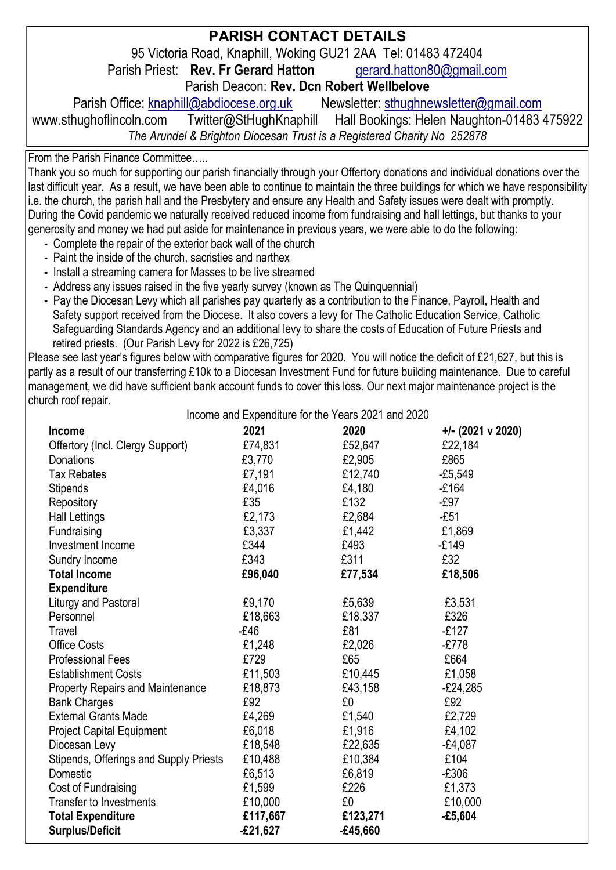#### **PARISH CONTACT DETAILS**

95 Victoria Road, Knaphill, Woking GU21 2AA Tel: 01483 472404<br>sh Priest: **Rev. Fr Gerard Hatton** aerard.hatton80@gmail.com

Parish Priest: **Rev. Fr Gerard Hatton** 

Parish Deacon: **Rev. Dcn Robert Wellbelove**

Parish Office: [knaphill@abdiocese.org.uk](mailto:knaphill@abdiocese.org.uk) Newsletter: [sthughnewsletter@gmail.com](mailto:sthughnewsletter@gmail.com)

www.sthughoflincoln.com Twitter@StHughKnaphill Hall Bookings: Helen Naughton-01483 475922 *The Arundel & Brighton Diocesan Trust is a Registered Charity No 252878*

From the Parish Finance Committee…..

Thank you so much for supporting our parish financially through your Offertory donations and individual donations over the last difficult year. As a result, we have been able to continue to maintain the three buildings for which we have responsibility i.e. the church, the parish hall and the Presbytery and ensure any Health and Safety issues were dealt with promptly. During the Covid pandemic we naturally received reduced income from fundraising and hall lettings, but thanks to your generosity and money we had put aside for maintenance in previous years, we were able to do the following:

- Complete the repair of the exterior back wall of the church
- **-** Paint the inside of the church, sacristies and narthex
- **-** Install a streaming camera for Masses to be live streamed
- Address any issues raised in the five yearly survey (known as The Quinquennial)
- Pay the Diocesan Levy which all parishes pay quarterly as a contribution to the Finance, Payroll, Health and Safety support received from the Diocese. It also covers a levy for The Catholic Education Service, Catholic Safeguarding Standards Agency and an additional levy to share the costs of Education of Future Priests and retired priests. (Our Parish Levy for 2022 is £26,725)

Please see last year's figures below with comparative figures for 2020. You will notice the deficit of £21,627, but this is partly as a result of our transferring £10k to a Diocesan Investment Fund for future building maintenance. Due to careful management, we did have sufficient bank account funds to cover this loss. Our next major maintenance project is the church roof repair.

Income and Expenditure for the Years 2021 and 2020

| Income                                 | $\frac{1}{2}$<br>2021 | 2020     | $+/- (2021 \vee 2020)$ |
|----------------------------------------|-----------------------|----------|------------------------|
| Offertory (Incl. Clergy Support)       | £74,831               | £52,647  | £22,184                |
| Donations                              | £3,770                | £2,905   | £865                   |
| <b>Tax Rebates</b>                     | £7,191                | £12.740  | $-£5,549$              |
| Stipends                               | £4,016                | £4,180   | $-£164$                |
| Repository                             | £35                   | £132     | -£97                   |
| Hall Lettings                          | £2,173                | £2,684   | $-E51$                 |
| Fundraising                            | £3,337                | £1,442   | £1,869                 |
| Investment Income                      | £344                  | £493     | $-E149$                |
| Sundry Income                          | £343                  | £311     | £32                    |
| <b>Total Income</b>                    | £96,040               | £77,534  | £18,506                |
| <b>Expenditure</b>                     |                       |          |                        |
| Liturgy and Pastoral                   | £9,170                | £5,639   | £3,531                 |
| Personnel                              | £18,663               | £18,337  | £326                   |
| Travel                                 | $-E46$                | £81      | $-E127$                |
| Office Costs                           | £1,248                | £2,026   | $-E778$                |
| <b>Professional Fees</b>               | £729                  | £65      | £664                   |
| <b>Establishment Costs</b>             | £11,503               | £10,445  | £1,058                 |
| Property Repairs and Maintenance       | £18,873               | £43,158  | $-£24,285$             |
| <b>Bank Charges</b>                    | £92                   | £0       | £92                    |
| <b>External Grants Made</b>            | £4,269                | £1,540   | £2,729                 |
| Project Capital Equipment              | £6,018                | £1,916   | £4,102                 |
| Diocesan Levy                          | £18,548               | £22,635  | $-£4,087$              |
| Stipends, Offerings and Supply Priests | £10,488               | £10.384  | £104                   |
| Domestic                               | £6,513                | £6,819   | -£306                  |
| Cost of Fundraising                    | £1,599                | £226     | £1,373                 |
| <b>Transfer to Investments</b>         | £10,000               | £0       | £10,000                |
| <b>Total Expenditure</b>               | £117,667              | £123,271 | -£5,604                |
| <b>Surplus/Deficit</b>                 | £21,627               | -£45,660 |                        |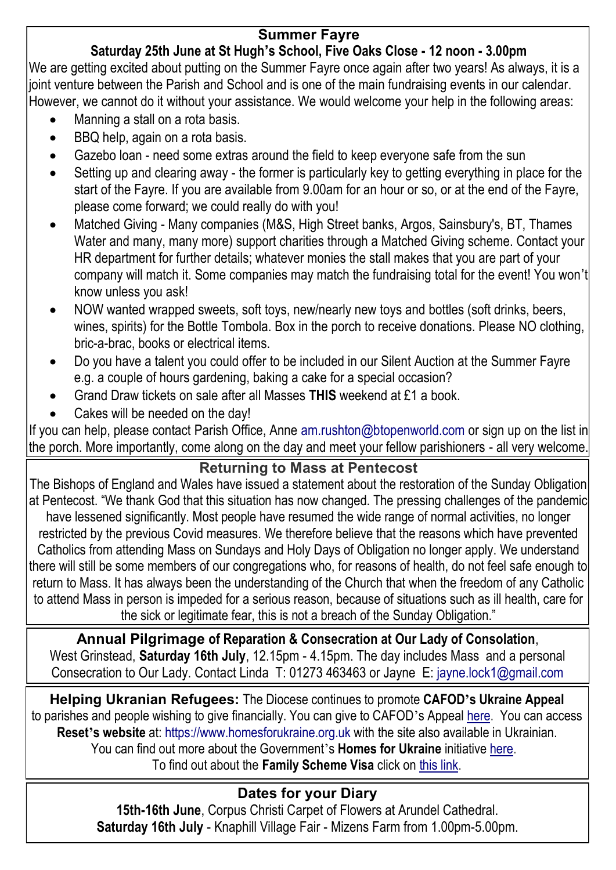### **Summer Fayre**

## **Saturday 25th June at St Hugh's School, Five Oaks Close - 12 noon - 3.00pm**

We are getting excited about putting on the Summer Fayre once again after two years! As always, it is a joint venture between the Parish and School and is one of the main fundraising events in our calendar. However, we cannot do it without your assistance. We would welcome your help in the following areas:

- Manning a stall on a rota basis.
- BBQ help, again on a rota basis.
- Gazebo loan need some extras around the field to keep everyone safe from the sun
- Setting up and clearing away the former is particularly key to getting everything in place for the start of the Fayre. If you are available from 9.00am for an hour or so, or at the end of the Fayre, please come forward; we could really do with you!
- Matched Giving Many companies (M&S, High Street banks, Argos, Sainsbury's, BT, Thames Water and many, many more) support charities through a Matched Giving scheme. Contact your HR department for further details; whatever monies the stall makes that you are part of your company will match it. Some companies may match the fundraising total for the event! You won't know unless you ask!
- NOW wanted wrapped sweets, soft toys, new/nearly new toys and bottles (soft drinks, beers, wines, spirits) for the Bottle Tombola. Box in the porch to receive donations. Please NO clothing, bric-a-brac, books or electrical items.
- Do you have a talent you could offer to be included in our Silent Auction at the Summer Fayre e.g. a couple of hours gardening, baking a cake for a special occasion?
- Grand Draw tickets on sale after all Masses **THIS** weekend at £1 a book.
- Cakes will be needed on the day!

If you can help, please contact Parish Office, Anne am.rushton@btopenworld.com or sign up on the list in the porch. More importantly, come along on the day and meet your fellow parishioners - all very welcome.

#### **Returning to Mass at Pentecost**

The Bishops of England and Wales have issued a statement about the restoration of the Sunday Obligation at Pentecost. "We thank God that this situation has now changed. The pressing challenges of the pandemic have lessened significantly. Most people have resumed the wide range of normal activities, no longer restricted by the previous Covid measures. We therefore believe that the reasons which have prevented Catholics from attending Mass on Sundays and Holy Days of Obligation no longer apply. We understand there will still be some members of our congregations who, for reasons of health, do not feel safe enough to return to Mass. It has always been the understanding of the Church that when the freedom of any Catholic

to attend Mass in person is impeded for a serious reason, because of situations such as ill health, care for the sick or legitimate fear, this is not a breach of the Sunday Obligation."

**Annual Pilgrimage of Reparation & Consecration at Our Lady of Consolation**, West Grinstead, **Saturday 16th July**, 12.15pm - 4.15pm. The day includes Mass and a personal Consecration to Our Lady. Contact Linda T: 01273 463463 or Jayne E: [jayne.lock1@gmail.com](mailto:jayne.lock1@gmail.com)

**Helping Ukranian Refugees:** The Diocese continues to promote **CAFOD's Ukraine Appeal** to parishes and people wishing to give financially. You can give to CAFOD's Appeal [here.](https://cafod.org.uk/Give) You can access **Reset's website** at: [https://www.homesforukraine.org.uk](https://www.homesforukraine.org.uk/) with the site also available in Ukrainian. You can find out more about the Government's **Homes for Ukraine** initiative [here.](https://homesforukraine.campaign.gov.uk/) To find out about the **Family Scheme Visa** click on [this link.](https://www.gov.uk/guidance/apply-for-a-ukraine-family-scheme-visa)

## **Dates for your Diary**

**15th-16th June**, Corpus Christi Carpet of Flowers at Arundel Cathedral. **Saturday 16th July** - Knaphill Village Fair - Mizens Farm from 1.00pm-5.00pm.